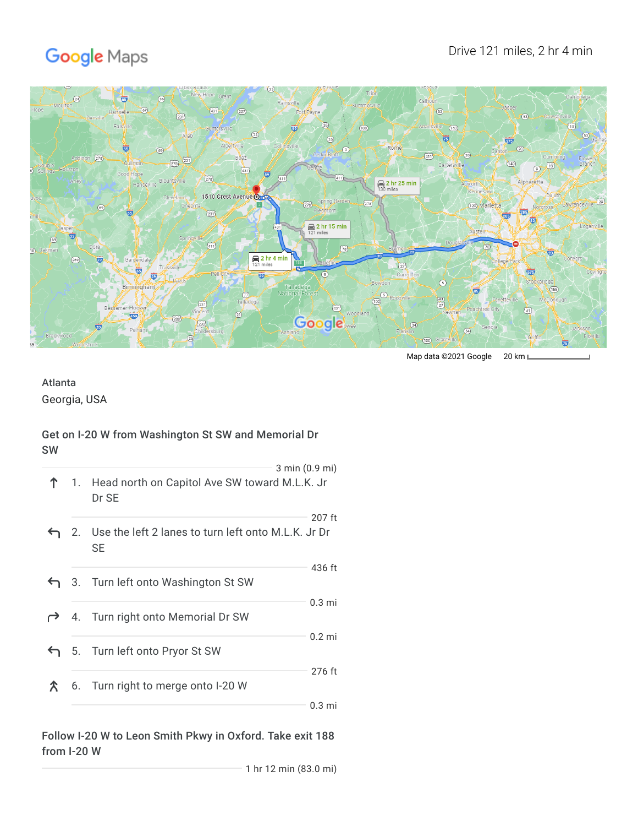# Google Maps



Map data ©2021 Google 20 km L

# Atlanta

Georgia, USA

## Get on I-20 W from Washington St SW and Memorial Dr SW

|   |                                                              | $3 \text{ min } (0.9 \text{ mi})$ |
|---|--------------------------------------------------------------|-----------------------------------|
|   | 1. Head north on Capitol Ave SW toward M.L.K. Jr<br>Dr SE    |                                   |
|   | 2. Use the left 2 lanes to turn left onto M.L.K. Jr Dr<br>SE | 207 ft                            |
|   | 3. Turn left onto Washington St SW                           | 436 ft                            |
|   | 4. Turn right onto Memorial Dr SW                            | 0.3 <sub>mi</sub>                 |
|   | 5. Turn left onto Pryor St SW                                | $0.2$ mi                          |
| Х | 6. Turn right to merge onto I-20 W                           | 276 ft                            |
|   |                                                              | 0.3 <sub>mi</sub>                 |

### Follow I-20 W to Leon Smith Pkwy in Oxford. Take exit 188 from I-20 W

1 hr 12 min (83.0 mi)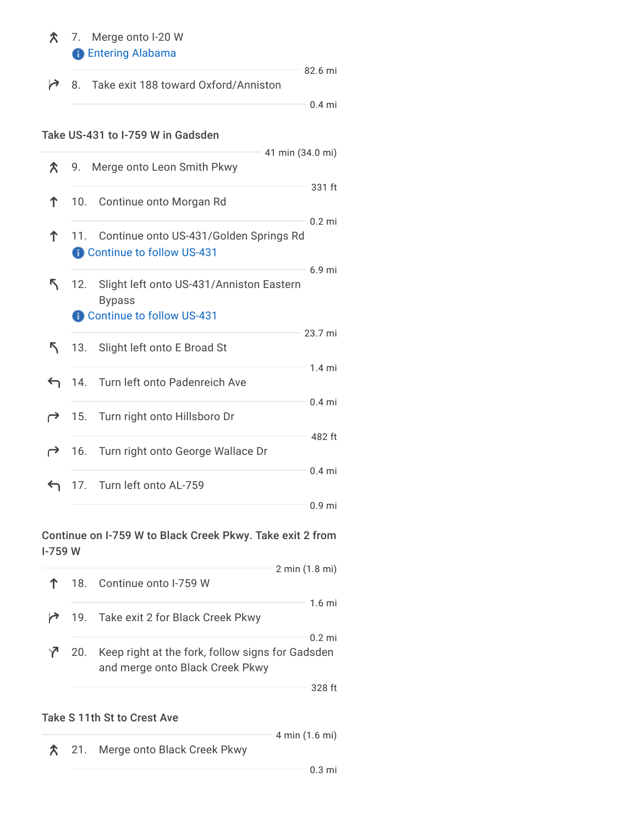# 7. Merge onto I-20 W **B** Entering Alabama

|  | ↑ 8. Take exit 188 toward Oxford/Anniston | 82.6 mi  |
|--|-------------------------------------------|----------|
|  |                                           | $0.4$ mi |

#### Take US-431 to I-759 W in Gadsden

|    |     |                                                                                        | 41 min (34.0 mi)  |
|----|-----|----------------------------------------------------------------------------------------|-------------------|
| ጽ  | 9.  | Merge onto Leon Smith Pkwy                                                             |                   |
| ↑  | 10. | Continue onto Morgan Rd                                                                | 331 ft            |
| ↑  | 11. | Continue onto US-431/Golden Springs Rd<br>Continue to follow US-431                    | $0.2$ mi          |
| ↖. | 12. | Slight left onto US-431/Anniston Eastern<br><b>Bypass</b><br>Continue to follow US-431 | $6.9$ mi          |
| ↖. |     | 13. Slight left onto E Broad St                                                        | 23.7 mi           |
| ↽  |     | 14. Turn left onto Padenreich Ave                                                      | $1.4 \text{ mi}$  |
| ←  |     | 15. Turn right onto Hillsboro Dr                                                       | $0.4$ mi          |
| ⊖  |     | 16. Turn right onto George Wallace Dr                                                  | 482 ft            |
| ↽  |     | 17. Turn left onto AL-759                                                              | $0.4$ mi          |
|    |     |                                                                                        | 0.9 <sub>mi</sub> |

### Continue on I-759 W to Black Creek Pkwy. Take exit 2 from I-759 W

|     |                                                                                     | $2 \text{ min } (1.8 \text{ mi})$ |
|-----|-------------------------------------------------------------------------------------|-----------------------------------|
|     | 18. Continue onto I-759 W                                                           |                                   |
|     | 19. Take exit 2 for Black Creek Pkwy                                                | $1.6 \text{ mi}$                  |
| 20. | Keep right at the fork, follow signs for Gadsden<br>and merge onto Black Creek Pkwy | $0.2 \text{ mi}$                  |
|     |                                                                                     | 328 ft                            |

## Take S 11th St to Crest Ave

21. Merge onto Black Creek Pkwy

4 min (1.6 mi)

0.3 mi